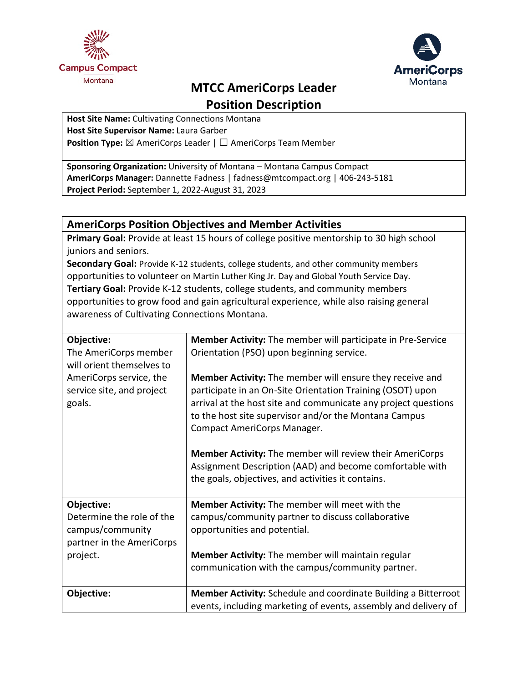



# **MTCC AmeriCorps Leader**

**Position Description**

**Host Site Name:** Cultivating Connections Montana **Host Site Supervisor Name:** Laura Garber **Position Type:** ⊠ AmeriCorps Leader | □ AmeriCorps Team Member

**Sponsoring Organization:** University of Montana – Montana Campus Compact **AmeriCorps Manager:** Dannette Fadness | fadness@mtcompact.org | 406-243-5181 **Project Period:** September 1, 2022-August 31, 2023

### **AmeriCorps Position Objectives and Member Activities**

**Primary Goal:** Provide at least 15 hours of college positive mentorship to 30 high school juniors and seniors.

**Secondary Goal:** Provide K-12 students, college students, and other community members opportunities to volunteer on Martin Luther King Jr. Day and Global Youth Service Day. **Tertiary Goal:** Provide K-12 students, college students, and community members opportunities to grow food and gain agricultural experience, while also raising general awareness of Cultivating Connections Montana.

| Objective:                | <b>Member Activity:</b> The member will participate in Pre-Service                                                      |
|---------------------------|-------------------------------------------------------------------------------------------------------------------------|
| The AmeriCorps member     | Orientation (PSO) upon beginning service.                                                                               |
| will orient themselves to |                                                                                                                         |
| AmeriCorps service, the   | <b>Member Activity:</b> The member will ensure they receive and                                                         |
| service site, and project | participate in an On-Site Orientation Training (OSOT) upon                                                              |
| goals.                    | arrival at the host site and communicate any project questions<br>to the host site supervisor and/or the Montana Campus |
|                           | Compact AmeriCorps Manager.                                                                                             |
|                           |                                                                                                                         |
|                           | Member Activity: The member will review their AmeriCorps                                                                |
|                           | Assignment Description (AAD) and become comfortable with                                                                |
|                           | the goals, objectives, and activities it contains.                                                                      |
|                           |                                                                                                                         |
| Objective:                | Member Activity: The member will meet with the                                                                          |
| Determine the role of the | campus/community partner to discuss collaborative                                                                       |
| campus/community          | opportunities and potential.                                                                                            |
| partner in the AmeriCorps |                                                                                                                         |
| project.                  | <b>Member Activity:</b> The member will maintain regular                                                                |
|                           | communication with the campus/community partner.                                                                        |
|                           |                                                                                                                         |
| Objective:                | Member Activity: Schedule and coordinate Building a Bitterroot                                                          |
|                           | events, including marketing of events, assembly and delivery of                                                         |
|                           |                                                                                                                         |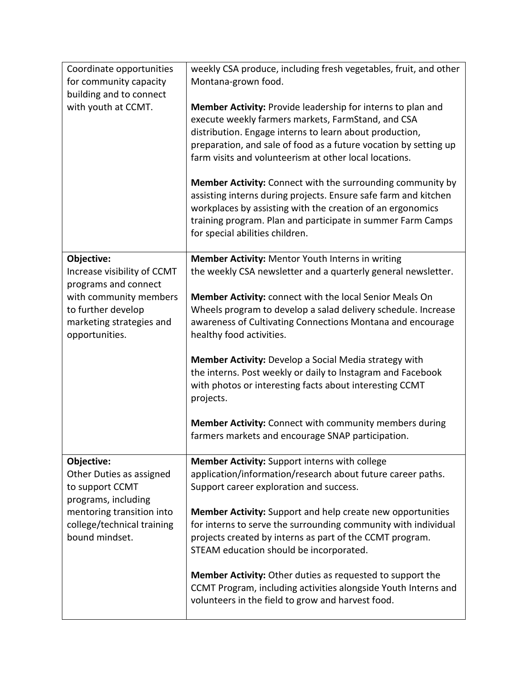| Coordinate opportunities<br>for community capacity                                                                                                            | weekly CSA produce, including fresh vegetables, fruit, and other<br>Montana-grown food.                                                                                                                                                                                                                                                                                  |
|---------------------------------------------------------------------------------------------------------------------------------------------------------------|--------------------------------------------------------------------------------------------------------------------------------------------------------------------------------------------------------------------------------------------------------------------------------------------------------------------------------------------------------------------------|
| building and to connect<br>with youth at CCMT.                                                                                                                | Member Activity: Provide leadership for interns to plan and<br>execute weekly farmers markets, FarmStand, and CSA<br>distribution. Engage interns to learn about production,<br>preparation, and sale of food as a future vocation by setting up<br>farm visits and volunteerism at other local locations.<br>Member Activity: Connect with the surrounding community by |
|                                                                                                                                                               | assisting interns during projects. Ensure safe farm and kitchen<br>workplaces by assisting with the creation of an ergonomics<br>training program. Plan and participate in summer Farm Camps<br>for special abilities children.                                                                                                                                          |
| Objective:<br>Increase visibility of CCMT<br>programs and connect                                                                                             | Member Activity: Mentor Youth Interns in writing<br>the weekly CSA newsletter and a quarterly general newsletter.                                                                                                                                                                                                                                                        |
| with community members<br>to further develop<br>marketing strategies and<br>opportunities.                                                                    | Member Activity: connect with the local Senior Meals On<br>Wheels program to develop a salad delivery schedule. Increase<br>awareness of Cultivating Connections Montana and encourage<br>healthy food activities.                                                                                                                                                       |
|                                                                                                                                                               | Member Activity: Develop a Social Media strategy with<br>the interns. Post weekly or daily to Instagram and Facebook<br>with photos or interesting facts about interesting CCMT<br>projects.                                                                                                                                                                             |
|                                                                                                                                                               | Member Activity: Connect with community members during<br>farmers markets and encourage SNAP participation.                                                                                                                                                                                                                                                              |
| Objective:<br>Other Duties as assigned<br>to support CCMT<br>programs, including<br>mentoring transition into<br>college/technical training<br>bound mindset. | Member Activity: Support interns with college<br>application/information/research about future career paths.<br>Support career exploration and success.                                                                                                                                                                                                                  |
|                                                                                                                                                               | Member Activity: Support and help create new opportunities<br>for interns to serve the surrounding community with individual<br>projects created by interns as part of the CCMT program.<br>STEAM education should be incorporated.                                                                                                                                      |
|                                                                                                                                                               | <b>Member Activity:</b> Other duties as requested to support the<br>CCMT Program, including activities alongside Youth Interns and<br>volunteers in the field to grow and harvest food.                                                                                                                                                                                  |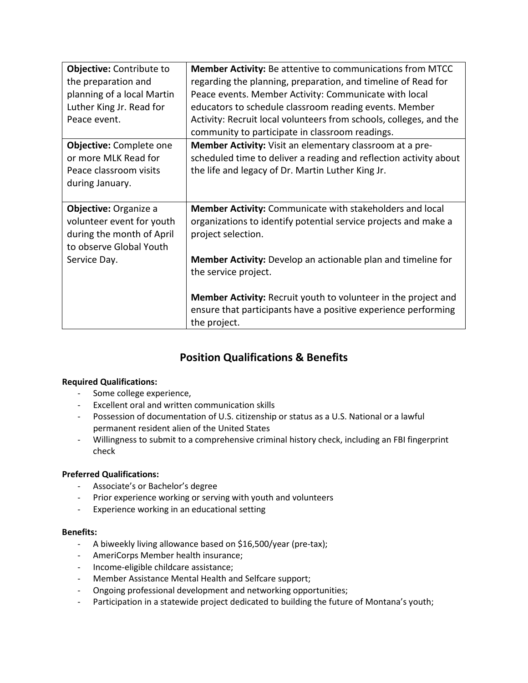| Objective: Contribute to       | <b>Member Activity:</b> Be attentive to communications from MTCC      |
|--------------------------------|-----------------------------------------------------------------------|
| the preparation and            | regarding the planning, preparation, and timeline of Read for         |
| planning of a local Martin     | Peace events. Member Activity: Communicate with local                 |
| Luther King Jr. Read for       | educators to schedule classroom reading events. Member                |
| Peace event.                   | Activity: Recruit local volunteers from schools, colleges, and the    |
|                                | community to participate in classroom readings.                       |
| <b>Objective:</b> Complete one | Member Activity: Visit an elementary classroom at a pre-              |
| or more MLK Read for           | scheduled time to deliver a reading and reflection activity about     |
| Peace classroom visits         | the life and legacy of Dr. Martin Luther King Jr.                     |
| during January.                |                                                                       |
|                                |                                                                       |
| Objective: Organize a          | Member Activity: Communicate with stakeholders and local              |
| volunteer event for youth      | organizations to identify potential service projects and make a       |
| during the month of April      | project selection.                                                    |
| to observe Global Youth        |                                                                       |
| Service Day.                   | Member Activity: Develop an actionable plan and timeline for          |
|                                | the service project.                                                  |
|                                |                                                                       |
|                                | <b>Member Activity:</b> Recruit youth to volunteer in the project and |
|                                | ensure that participants have a positive experience performing        |
|                                | the project.                                                          |

## **Position Qualifications & Benefits**

#### **Required Qualifications:**

- Some college experience,
- Excellent oral and written communication skills
- Possession of documentation of U.S. citizenship or status as a U.S. National or a lawful permanent resident alien of the United States
- Willingness to submit to a comprehensive criminal history check, including an FBI fingerprint check

#### **Preferred Qualifications:**

- Associate's or Bachelor's degree
- Prior experience working or serving with youth and volunteers
- Experience working in an educational setting

#### **Benefits:**

- A biweekly living allowance based on \$16,500/year (pre-tax);
- AmeriCorps Member health insurance;
- Income-eligible childcare assistance;
- Member Assistance Mental Health and Selfcare support;
- Ongoing professional development and networking opportunities;
- Participation in a statewide project dedicated to building the future of Montana's youth;